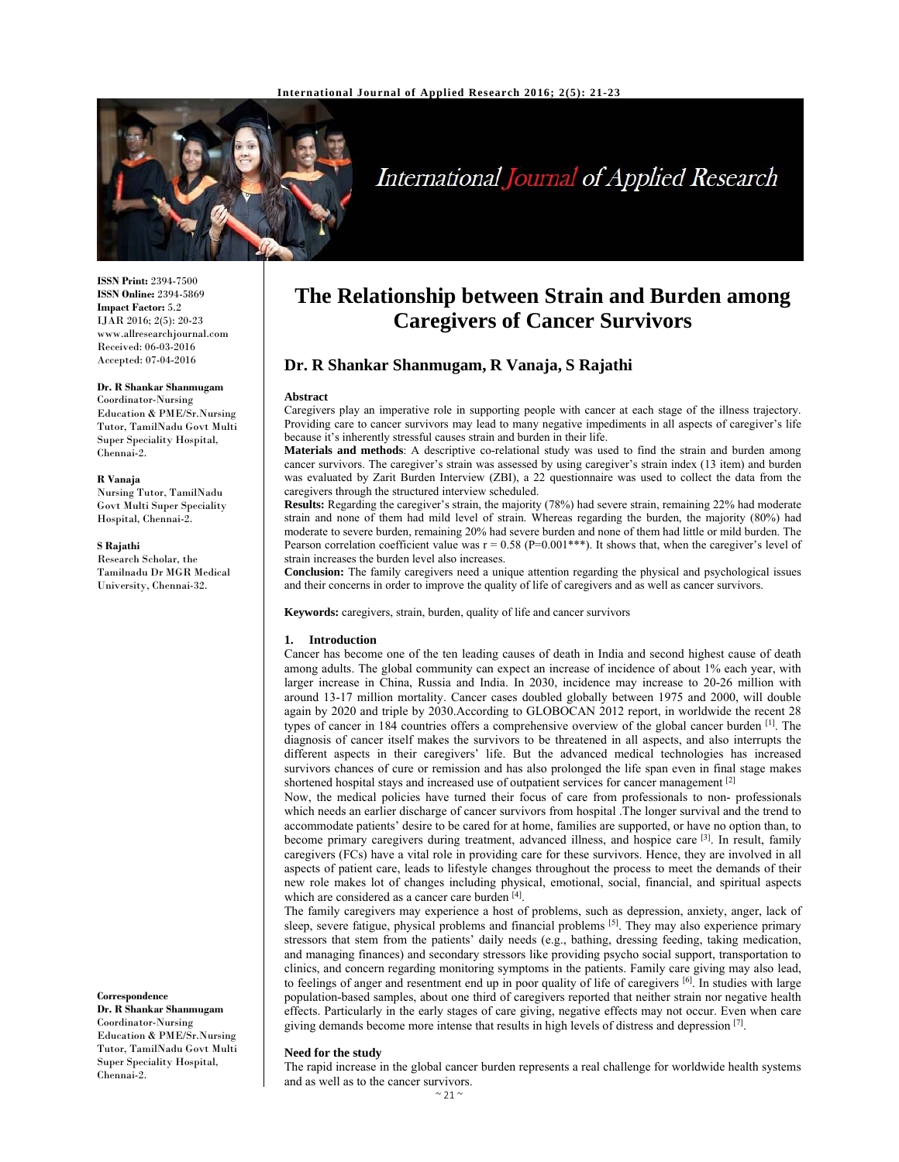

# International Journal of Applied Research

**ISSN Print:** 2394-7500 **ISSN Online:** 2394-5869 **Impact Factor:** 5.2 IJAR 2016; 2(5): 20-23 www.allresearchjournal.com Received: 06-03-2016 Accepted: 07-04-2016

# **Dr. R Shankar Shanmugam**

Coordinator-Nursing Education & PME/Sr.Nursing Tutor, TamilNadu Govt Multi Super Speciality Hospital, Chennai-2.

#### **R Vanaja**

Nursing Tutor, TamilNadu Govt Multi Super Speciality Hospital, Chennai-2.

#### **S Rajathi**

Research Scholar, the Tamilnadu Dr MGR Medical University, Chennai-32.

**Correspondence**

**Dr. R Shankar Shanmugam**  Coordinator-Nursing Education & PME/Sr.Nursing Tutor, TamilNadu Govt Multi Super Speciality Hospital, Chennai-2.

# **The Relationship between Strain and Burden among Caregivers of Cancer Survivors**

# **Dr. R Shankar Shanmugam, R Vanaja, S Rajathi**

#### **Abstract**

Caregivers play an imperative role in supporting people with cancer at each stage of the illness trajectory. Providing care to cancer survivors may lead to many negative impediments in all aspects of caregiver's life because it's inherently stressful causes strain and burden in their life.

**Materials and methods**: A descriptive co-relational study was used to find the strain and burden among cancer survivors. The caregiver's strain was assessed by using caregiver's strain index (13 item) and burden was evaluated by Zarit Burden Interview (ZBI), a 22 questionnaire was used to collect the data from the caregivers through the structured interview scheduled.

**Results:** Regarding the caregiver's strain, the majority (78%) had severe strain, remaining 22% had moderate strain and none of them had mild level of strain. Whereas regarding the burden, the majority (80%) had moderate to severe burden, remaining 20% had severe burden and none of them had little or mild burden. The Pearson correlation coefficient value was  $r = 0.58$  (P=0.001\*\*\*). It shows that, when the caregiver's level of strain increases the burden level also increases.

**Conclusion:** The family caregivers need a unique attention regarding the physical and psychological issues and their concerns in order to improve the quality of life of caregivers and as well as cancer survivors.

**Keywords:** caregivers, strain, burden, quality of life and cancer survivors

#### **1. Introduction**

Cancer has become one of the ten leading causes of death in India and second highest cause of death among adults. The global community can expect an increase of incidence of about 1% each year, with larger increase in China, Russia and India. In 2030, incidence may increase to 20-26 million with around 13-17 million mortality. Cancer cases doubled globally between 1975 and 2000, will double again by 2020 and triple by 2030.According to GLOBOCAN 2012 report, in worldwide the recent 28 types of cancer in 184 countries offers a comprehensive overview of the global cancer burden [1]. The diagnosis of cancer itself makes the survivors to be threatened in all aspects, and also interrupts the different aspects in their caregivers' life. But the advanced medical technologies has increased survivors chances of cure or remission and has also prolonged the life span even in final stage makes shortened hospital stays and increased use of outpatient services for cancer management [2]

Now, the medical policies have turned their focus of care from professionals to non- professionals which needs an earlier discharge of cancer survivors from hospital .The longer survival and the trend to accommodate patients' desire to be cared for at home, families are supported, or have no option than, to become primary caregivers during treatment, advanced illness, and hospice care [3]. In result, family caregivers (FCs) have a vital role in providing care for these survivors. Hence, they are involved in all aspects of patient care, leads to lifestyle changes throughout the process to meet the demands of their new role makes lot of changes including physical, emotional, social, financial, and spiritual aspects which are considered as a cancer care burden [4].

The family caregivers may experience a host of problems, such as depression, anxiety, anger, lack of sleep, severe fatigue, physical problems and financial problems <sup>[5]</sup>. They may also experience primary stressors that stem from the patients' daily needs (e.g., bathing, dressing feeding, taking medication, and managing finances) and secondary stressors like providing psycho social support, transportation to clinics, and concern regarding monitoring symptoms in the patients. Family care giving may also lead, to feelings of anger and resentment end up in poor quality of life of caregivers  $[6]$ . In studies with large population-based samples, about one third of caregivers reported that neither strain nor negative health effects. Particularly in the early stages of care giving, negative effects may not occur. Even when care giving demands become more intense that results in high levels of distress and depression [7].

#### **Need for the study**

The rapid increase in the global cancer burden represents a real challenge for worldwide health systems and as well as to the cancer survivors.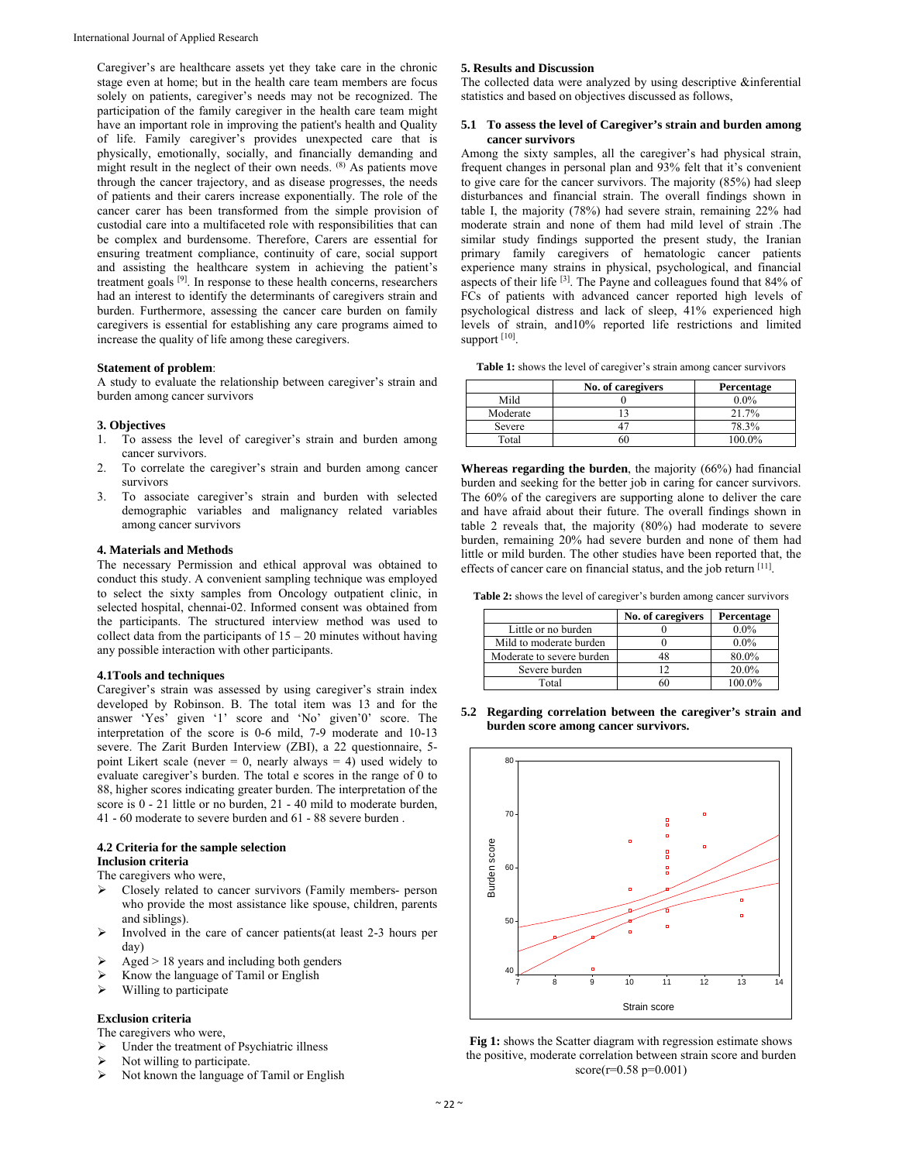Caregiver's are healthcare assets yet they take care in the chronic stage even at home; but in the health care team members are focus solely on patients, caregiver's needs may not be recognized. The participation of the family caregiver in the health care team might have an important role in improving the patient's health and Quality of life. Family caregiver's provides unexpected care that is physically, emotionally, socially, and financially demanding and might result in the neglect of their own needs. (8) As patients move through the cancer trajectory, and as disease progresses, the needs of patients and their carers increase exponentially. The role of the cancer carer has been transformed from the simple provision of custodial care into a multifaceted role with responsibilities that can be complex and burdensome. Therefore, Carers are essential for ensuring treatment compliance, continuity of care, social support and assisting the healthcare system in achieving the patient's treatment goals [9]. In response to these health concerns, researchers had an interest to identify the determinants of caregivers strain and burden. Furthermore, assessing the cancer care burden on family caregivers is essential for establishing any care programs aimed to increase the quality of life among these caregivers.

#### **Statement of problem**:

A study to evaluate the relationship between caregiver's strain and burden among cancer survivors

#### **3. Objectives**

- 1. To assess the level of caregiver's strain and burden among cancer survivors.
- 2. To correlate the caregiver's strain and burden among cancer survivors
- 3. To associate caregiver's strain and burden with selected demographic variables and malignancy related variables among cancer survivors

## **4. Materials and Methods**

The necessary Permission and ethical approval was obtained to conduct this study. A convenient sampling technique was employed to select the sixty samples from Oncology outpatient clinic, in selected hospital, chennai-02. Informed consent was obtained from the participants. The structured interview method was used to collect data from the participants of  $15 - 20$  minutes without having any possible interaction with other participants.

## **4.1Tools and techniques**

Caregiver's strain was assessed by using caregiver's strain index developed by Robinson. B. The total item was 13 and for the answer 'Yes' given '1' score and 'No' given'0' score. The interpretation of the score is 0-6 mild, 7-9 moderate and 10-13 severe. The Zarit Burden Interview (ZBI), a 22 questionnaire, 5 point Likert scale (never  $= 0$ , nearly always  $= 4$ ) used widely to evaluate caregiver's burden. The total e scores in the range of 0 to 88, higher scores indicating greater burden. The interpretation of the score is 0 - 21 little or no burden, 21 - 40 mild to moderate burden, 41 - 60 moderate to severe burden and 61 - 88 severe burden .

### **4.2 Criteria for the sample selection Inclusion criteria**

The caregivers who were,

- Closely related to cancer survivors (Family members- person who provide the most assistance like spouse, children, parents and siblings).
- $\triangleright$  Involved in the care of cancer patients(at least 2-3 hours per day)
- Aged > 18 years and including both genders
- Know the language of Tamil or English
- $\triangleright$  Willing to participate

# **Exclusion criteria**

- The caregivers who were,
- $\triangleright$  Under the treatment of Psychiatric illness
- Not willing to participate.
- $\triangleright$  Not known the language of Tamil or English

#### **5. Results and Discussion**

The collected data were analyzed by using descriptive &inferential statistics and based on objectives discussed as follows,

## **5.1 To assess the level of Caregiver's strain and burden among cancer survivors**

Among the sixty samples, all the caregiver's had physical strain, frequent changes in personal plan and 93% felt that it's convenient to give care for the cancer survivors. The majority (85%) had sleep disturbances and financial strain. The overall findings shown in table I, the majority (78%) had severe strain, remaining 22% had moderate strain and none of them had mild level of strain .The similar study findings supported the present study, the Iranian primary family caregivers of hematologic cancer patients experience many strains in physical, psychological, and financial aspects of their life [3]. The Payne and colleagues found that 84% of FCs of patients with advanced cancer reported high levels of psychological distress and lack of sleep, 41% experienced high levels of strain, and10% reported life restrictions and limited support [10].

**Table 1:** shows the level of caregiver's strain among cancer survivors

|          | No. of caregivers | Percentage |
|----------|-------------------|------------|
| Mild     |                   | $0.0\%$    |
| Moderate |                   | 21.7%      |
| Severe   |                   | 78.3%      |
| Total    |                   | 100.0%     |

**Whereas regarding the burden**, the majority (66%) had financial burden and seeking for the better job in caring for cancer survivors. The 60% of the caregivers are supporting alone to deliver the care and have afraid about their future. The overall findings shown in table 2 reveals that, the majority (80%) had moderate to severe burden, remaining 20% had severe burden and none of them had little or mild burden. The other studies have been reported that, the effects of cancer care on financial status, and the job return [11].

Table 2: shows the level of caregiver's burden among cancer survivors

|                           | No. of caregivers | Percentage |
|---------------------------|-------------------|------------|
| Little or no burden       |                   | $0.0\%$    |
| Mild to moderate burden   |                   | $0.0\%$    |
| Moderate to severe burden |                   | 80.0%      |
| Severe burden             |                   | 20.0%      |
| Total                     |                   | 100.0%     |

**5.2 Regarding correlation between the caregiver's strain and burden score among cancer survivors.**